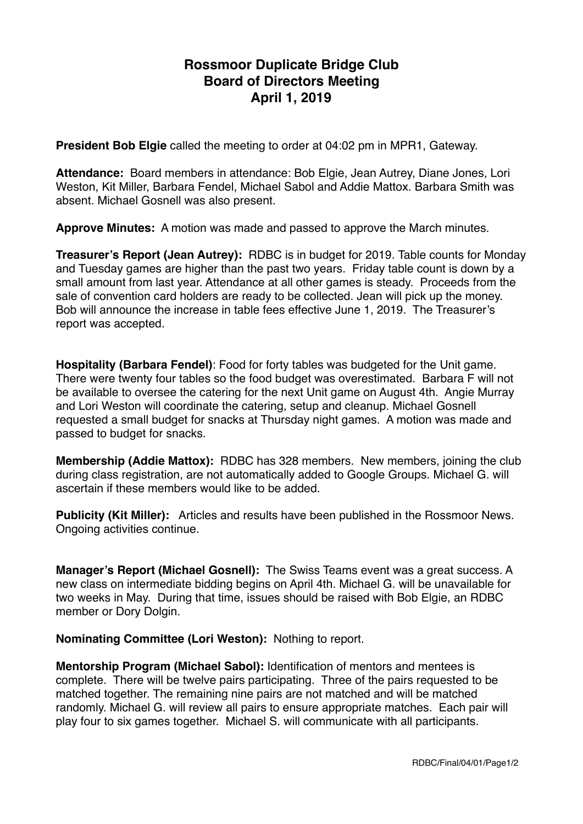## **Rossmoor Duplicate Bridge Club Board of Directors Meeting April 1, 2019**

**President Bob Elgie** called the meeting to order at 04:02 pm in MPR1, Gateway.

**Attendance:** Board members in attendance: Bob Elgie, Jean Autrey, Diane Jones, Lori Weston, Kit Miller, Barbara Fendel, Michael Sabol and Addie Mattox. Barbara Smith was absent. Michael Gosnell was also present.

**Approve Minutes:** A motion was made and passed to approve the March minutes.

**Treasurer's Report (Jean Autrey):** RDBC is in budget for 2019. Table counts for Monday and Tuesday games are higher than the past two years. Friday table count is down by a small amount from last year. Attendance at all other games is steady. Proceeds from the sale of convention card holders are ready to be collected. Jean will pick up the money. Bob will announce the increase in table fees effective June 1, 2019. The Treasurer's report was accepted.

**Hospitality (Barbara Fendel)**: Food for forty tables was budgeted for the Unit game. There were twenty four tables so the food budget was overestimated. Barbara F will not be available to oversee the catering for the next Unit game on August 4th. Angie Murray and Lori Weston will coordinate the catering, setup and cleanup. Michael Gosnell requested a small budget for snacks at Thursday night games. A motion was made and passed to budget for snacks.

**Membership (Addie Mattox):** RDBC has 328 members. New members, joining the club during class registration, are not automatically added to Google Groups. Michael G. will ascertain if these members would like to be added.

**Publicity (Kit Miller):** Articles and results have been published in the Rossmoor News. Ongoing activities continue.

**Manager's Report (Michael Gosnell):** The Swiss Teams event was a great success. A new class on intermediate bidding begins on April 4th. Michael G. will be unavailable for two weeks in May. During that time, issues should be raised with Bob Elgie, an RDBC member or Dory Dolgin.

**Nominating Committee (Lori Weston):** Nothing to report.

**Mentorship Program (Michael Sabol):** Identification of mentors and mentees is complete. There will be twelve pairs participating. Three of the pairs requested to be matched together. The remaining nine pairs are not matched and will be matched randomly. Michael G. will review all pairs to ensure appropriate matches. Each pair will play four to six games together. Michael S. will communicate with all participants.